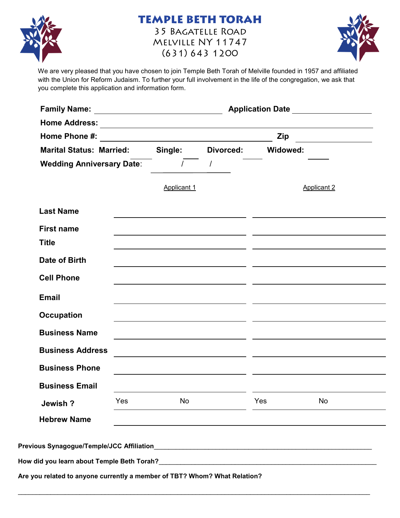

### **TEMPLE BETH TORAH** 35 BAGATELLE ROAD MELVILLE NY 11747

 $(631) 643 1200$ 

We are very pleased that you have chosen to join Temple Beth Torah of Melville founded in 1957 and affiliated with the Union for Reform Judaism. To further your full involvement in the life of the congregation, we ask that you complete this application and information form.

|                                 |    |                                                 | <b>Zip</b>                                       |                                                                                                                                                                                                                                                                                                                                                                                                                                                                                                           |
|---------------------------------|----|-------------------------------------------------|--------------------------------------------------|-----------------------------------------------------------------------------------------------------------------------------------------------------------------------------------------------------------------------------------------------------------------------------------------------------------------------------------------------------------------------------------------------------------------------------------------------------------------------------------------------------------|
| <b>Marital Status: Married:</b> |    |                                                 |                                                  |                                                                                                                                                                                                                                                                                                                                                                                                                                                                                                           |
|                                 |    |                                                 |                                                  |                                                                                                                                                                                                                                                                                                                                                                                                                                                                                                           |
|                                 |    |                                                 |                                                  | <b>Applicant 2</b>                                                                                                                                                                                                                                                                                                                                                                                                                                                                                        |
|                                 |    |                                                 |                                                  |                                                                                                                                                                                                                                                                                                                                                                                                                                                                                                           |
|                                 |    |                                                 |                                                  |                                                                                                                                                                                                                                                                                                                                                                                                                                                                                                           |
|                                 |    |                                                 |                                                  |                                                                                                                                                                                                                                                                                                                                                                                                                                                                                                           |
|                                 |    |                                                 |                                                  |                                                                                                                                                                                                                                                                                                                                                                                                                                                                                                           |
|                                 |    |                                                 |                                                  |                                                                                                                                                                                                                                                                                                                                                                                                                                                                                                           |
|                                 |    |                                                 |                                                  |                                                                                                                                                                                                                                                                                                                                                                                                                                                                                                           |
|                                 |    |                                                 |                                                  |                                                                                                                                                                                                                                                                                                                                                                                                                                                                                                           |
|                                 |    |                                                 |                                                  |                                                                                                                                                                                                                                                                                                                                                                                                                                                                                                           |
|                                 |    |                                                 |                                                  |                                                                                                                                                                                                                                                                                                                                                                                                                                                                                                           |
|                                 |    |                                                 |                                                  |                                                                                                                                                                                                                                                                                                                                                                                                                                                                                                           |
|                                 |    |                                                 |                                                  |                                                                                                                                                                                                                                                                                                                                                                                                                                                                                                           |
| Yes                             | No |                                                 | Yes                                              | No                                                                                                                                                                                                                                                                                                                                                                                                                                                                                                        |
|                                 |    |                                                 |                                                  |                                                                                                                                                                                                                                                                                                                                                                                                                                                                                                           |
|                                 |    | <b>Wedding Anniversary Date:</b><br>Applicant 1 | Single: Divorced:<br>$\frac{1}{2}$ $\frac{1}{2}$ | <u> 1989 - Johann Barbara, martxa alemaniar argumento de la contrada de la contrada de la contrada de la contrad</u><br>Widowed:<br><u> 1989 - Andrea Santa Alemania, amerikana amerikana amerikana amerikana amerikana amerikana amerikana amerikana</u><br><u> 1989 - Johann Barn, mars and de Branch Barn, mars and de Branch Barn, mars and de Branch Barn, mars and de B</u><br><u> 1989 - Johann Stein, mars an deutscher Stein und der Stein und der Stein und der Stein und der Stein und der</u> |

\_\_\_\_\_\_\_\_\_\_\_\_\_\_\_\_\_\_\_\_\_\_\_\_\_\_\_\_\_\_\_\_\_\_\_\_\_\_\_\_\_\_\_\_\_\_\_\_\_\_\_\_\_\_\_\_\_\_\_\_\_\_\_\_\_\_\_\_\_\_\_\_\_\_\_\_\_\_\_\_\_\_\_\_\_\_\_\_\_\_\_\_\_\_\_\_\_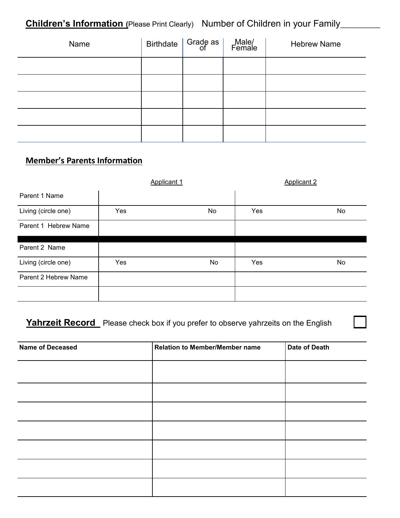## **Children's Information** (Please Print Clearly) Number of Children in your Family\_\_\_\_\_\_\_\_

| Name | Birthdate $\vert$ Grade as $\vert$ | Male/<br>Female | <b>Hebrew Name</b> |
|------|------------------------------------|-----------------|--------------------|
|      |                                    |                 |                    |
|      |                                    |                 |                    |
|      |                                    |                 |                    |
|      |                                    |                 |                    |
|      |                                    |                 |                    |

## **Member's Parents Information**

|                      |     | Applicant 1 |     | <b>Applicant 2</b> |
|----------------------|-----|-------------|-----|--------------------|
| Parent 1 Name        |     |             |     |                    |
| Living (circle one)  | Yes | No          | Yes | No                 |
| Parent 1 Hebrew Name |     |             |     |                    |
|                      |     |             |     |                    |
| Parent 2 Name        |     |             |     |                    |
| Living (circle one)  | Yes | No          | Yes | No                 |
| Parent 2 Hebrew Name |     |             |     |                    |
|                      |     |             |     |                    |

#### Yahrzeit Record Please check box if you prefer to observe yahrzeits on the English

 $\sim 10^6$ 

| <b>Name of Deceased</b> | <b>Relation to Member/Member name</b> | Date of Death |
|-------------------------|---------------------------------------|---------------|
|                         |                                       |               |
|                         |                                       |               |
|                         |                                       |               |
|                         |                                       |               |
|                         |                                       |               |
|                         |                                       |               |
|                         |                                       |               |